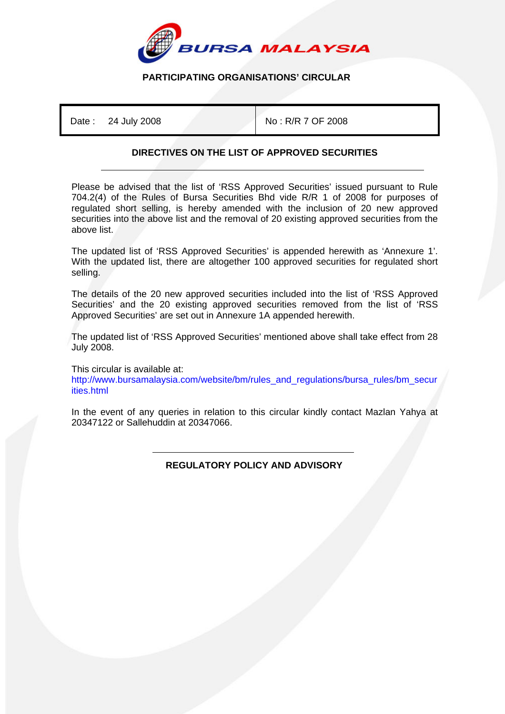

## **PARTICIPATING ORGANISATIONS' CIRCULAR**

Date : 24 July 2008 No : R/R 7 OF 2008

## **DIRECTIVES ON THE LIST OF APPROVED SECURITIES**

Please be advised that the list of 'RSS Approved Securities' issued pursuant to Rule 704.2(4) of the Rules of Bursa Securities Bhd vide R/R 1 of 2008 for purposes of regulated short selling, is hereby amended with the inclusion of 20 new approved securities into the above list and the removal of 20 existing approved securities from the above list.

The updated list of 'RSS Approved Securities' is appended herewith as 'Annexure 1'. With the updated list, there are altogether 100 approved securities for regulated short selling.

The details of the 20 new approved securities included into the list of 'RSS Approved Securities' and the 20 existing approved securities removed from the list of 'RSS Approved Securities' are set out in Annexure 1A appended herewith.

The updated list of 'RSS Approved Securities' mentioned above shall take effect from 28 July 2008.

This circular is available at:

http://www.bursamalaysia.com/website/bm/rules\_and\_regulations/bursa\_rules/bm\_secur ities.html

In the event of any queries in relation to this circular kindly contact Mazlan Yahya at 20347122 or Sallehuddin at 20347066.

> ֺ  **REGULATORY POLICY AND ADVISORY**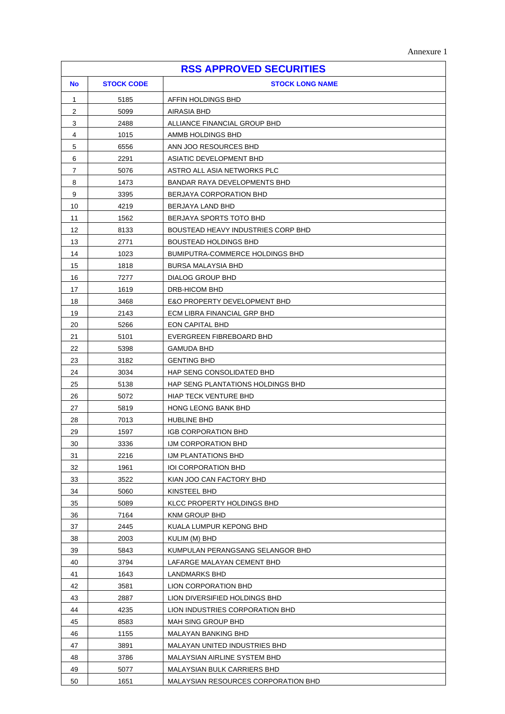|  | Annexure 1 |  |
|--|------------|--|
|--|------------|--|

| <b>RSS APPROVED SECURITIES</b> |                   |                                                             |
|--------------------------------|-------------------|-------------------------------------------------------------|
| <b>No</b>                      | <b>STOCK CODE</b> | <b>STOCK LONG NAME</b>                                      |
| $\mathbf{1}$                   | 5185              | AFFIN HOLDINGS BHD                                          |
| 2                              | 5099              | AIRASIA BHD                                                 |
| 3                              | 2488              | ALLIANCE FINANCIAL GROUP BHD                                |
| 4                              | 1015              | AMMB HOLDINGS BHD                                           |
| 5                              | 6556              | ANN JOO RESOURCES BHD                                       |
| 6                              | 2291              | ASIATIC DEVELOPMENT BHD                                     |
| 7                              | 5076              | ASTRO ALL ASIA NETWORKS PLC                                 |
| 8                              | 1473              | BANDAR RAYA DEVELOPMENTS BHD                                |
| 9                              | 3395              | BERJAYA CORPORATION BHD                                     |
| 10                             | 4219              | BERJAYA LAND BHD                                            |
| 11                             | 1562              | BERJAYA SPORTS TOTO BHD                                     |
| 12                             | 8133              | <b>BOUSTEAD HEAVY INDUSTRIES CORP BHD</b>                   |
| 13                             | 2771              | <b>BOUSTEAD HOLDINGS BHD</b>                                |
| 14                             | 1023              | BUMIPUTRA-COMMERCE HOLDINGS BHD                             |
| 15                             | 1818              | BURSA MALAYSIA BHD                                          |
| 16                             | 7277              | <b>DIALOG GROUP BHD</b>                                     |
| 17                             | 1619              | DRB-HICOM BHD                                               |
| 18                             | 3468              | <b>E&amp;O PROPERTY DEVELOPMENT BHD</b>                     |
| 19                             | 2143              | ECM LIBRA FINANCIAL GRP BHD                                 |
| 20                             | 5266              | EON CAPITAL BHD                                             |
| 21                             | 5101              | EVERGREEN FIBREBOARD BHD                                    |
| 22                             | 5398              | GAMUDA BHD                                                  |
| 23                             | 3182              | <b>GENTING BHD</b>                                          |
| 24                             | 3034              | HAP SENG CONSOLIDATED BHD                                   |
| 25                             | 5138              | HAP SENG PLANTATIONS HOLDINGS BHD                           |
| 26                             | 5072              | <b>HIAP TECK VENTURE BHD</b>                                |
| 27                             | 5819              | HONG LEONG BANK BHD                                         |
| 28                             | 7013              | <b>HUBLINE BHD</b>                                          |
| 29                             | 1597              | <b>IGB CORPORATION BHD</b>                                  |
| $30\,$                         | 3336              | IJM CORPORATION BHD                                         |
| 31                             | 2216              | IJM PLANTATIONS BHD                                         |
| 32                             | 1961              | <b>IOI CORPORATION BHD</b>                                  |
| 33                             | 3522              | KIAN JOO CAN FACTORY BHD                                    |
| 34                             | 5060              | KINSTEEL BHD                                                |
| 35                             | 5089              | KLCC PROPERTY HOLDINGS BHD                                  |
| 36                             | 7164              | KNM GROUP BHD                                               |
| 37                             | 2445              | KUALA LUMPUR KEPONG BHD                                     |
| 38                             | 2003              | KULIM (M) BHD                                               |
| 39                             | 5843              | KUMPULAN PERANGSANG SELANGOR BHD                            |
| 40                             | 3794              | LAFARGE MALAYAN CEMENT BHD                                  |
| 41                             | 1643              | LANDMARKS BHD                                               |
| 42                             | 3581              | LION CORPORATION BHD                                        |
| 43                             | 2887              | LION DIVERSIFIED HOLDINGS BHD                               |
| 44                             | 4235              | LION INDUSTRIES CORPORATION BHD                             |
| 45                             | 8583              | MAH SING GROUP BHD                                          |
| 46                             | 1155              | MALAYAN BANKING BHD                                         |
| 47<br>48                       | 3891              | MALAYAN UNITED INDUSTRIES BHD                               |
| 49                             | 3786<br>5077      | MALAYSIAN AIRLINE SYSTEM BHD<br>MALAYSIAN BULK CARRIERS BHD |
| 50                             | 1651              | MALAYSIAN RESOURCES CORPORATION BHD                         |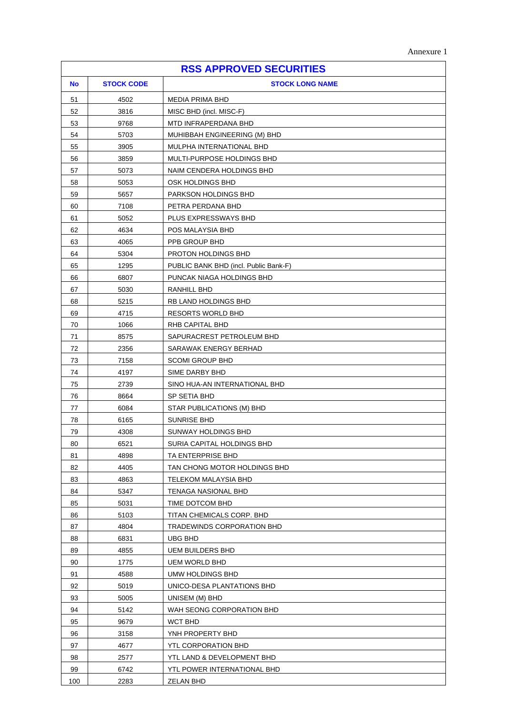|  | Annexure 1 |  |
|--|------------|--|
|--|------------|--|

| <b>RSS APPROVED SECURITIES</b> |                   |                                                 |
|--------------------------------|-------------------|-------------------------------------------------|
| <b>No</b>                      | <b>STOCK CODE</b> | <b>STOCK LONG NAME</b>                          |
| 51                             | 4502              | <b>MEDIA PRIMA BHD</b>                          |
| 52                             | 3816              | MISC BHD (incl. MISC-F)                         |
| 53                             | 9768              | MTD INFRAPERDANA BHD                            |
| 54                             | 5703              | MUHIBBAH ENGINEERING (M) BHD                    |
| 55                             | 3905              | MULPHA INTERNATIONAL BHD                        |
| 56                             | 3859              | MULTI-PURPOSE HOLDINGS BHD                      |
| 57                             | 5073              | NAIM CENDERA HOLDINGS BHD                       |
| 58                             | 5053              | OSK HOLDINGS BHD                                |
| 59                             | 5657              | PARKSON HOLDINGS BHD                            |
| 60                             | 7108              | PETRA PERDANA BHD                               |
| 61                             | 5052              | PLUS EXPRESSWAYS BHD                            |
| 62                             | 4634              | POS MALAYSIA BHD                                |
| 63                             | 4065              | PPB GROUP BHD                                   |
| 64                             | 5304              | PROTON HOLDINGS BHD                             |
| 65                             | 1295              | PUBLIC BANK BHD (incl. Public Bank-F)           |
| 66                             | 6807              | PUNCAK NIAGA HOLDINGS BHD                       |
| 67                             | 5030              | RANHILL BHD                                     |
| 68                             | 5215              | RB LAND HOLDINGS BHD                            |
| 69                             | 4715              | RESORTS WORLD BHD                               |
| 70                             | 1066              | RHB CAPITAL BHD                                 |
| 71                             | 8575              | SAPURACREST PETROLEUM BHD                       |
| 72                             | 2356              | SARAWAK ENERGY BERHAD                           |
| 73                             | 7158              | <b>SCOMI GROUP BHD</b>                          |
| 74                             | 4197              | SIME DARBY BHD                                  |
| 75                             | 2739              | SINO HUA-AN INTERNATIONAL BHD                   |
| 76                             | 8664              | SP SETIA BHD                                    |
| 77                             | 6084              | STAR PUBLICATIONS (M) BHD                       |
| 78                             | 6165              | SUNRISE BHD                                     |
| 79                             | 4308              | SUNWAY HOLDINGS BHD                             |
| 80                             | 6521              | SURIA CAPITAL HOLDINGS BHD                      |
| 81                             | 4898              | TA ENTERPRISE BHD                               |
| 82                             | 4405              | TAN CHONG MOTOR HOLDINGS BHD                    |
| 83                             | 4863              | TELEKOM MALAYSIA BHD                            |
| 84                             | 5347              | TENAGA NASIONAL BHD                             |
| 85                             | 5031              | TIME DOTCOM BHD                                 |
| 86                             | 5103              | TITAN CHEMICALS CORP. BHD                       |
| 87                             | 4804              | TRADEWINDS CORPORATION BHD<br>UBG BHD           |
| 88<br>89                       | 6831<br>4855      |                                                 |
| 90                             | 1775              | <b>UEM BUILDERS BHD</b><br><b>UEM WORLD BHD</b> |
| 91                             | 4588              | UMW HOLDINGS BHD                                |
| 92                             | 5019              | UNICO-DESA PLANTATIONS BHD                      |
| 93                             | 5005              | UNISEM (M) BHD                                  |
| 94                             | 5142              | WAH SEONG CORPORATION BHD                       |
| 95                             | 9679              | <b>WCT BHD</b>                                  |
| 96                             | 3158              | YNH PROPERTY BHD                                |
| 97                             | 4677              | YTL CORPORATION BHD                             |
| 98                             | 2577              | YTL LAND & DEVELOPMENT BHD                      |
| 99                             | 6742              | YTL POWER INTERNATIONAL BHD                     |
| 100                            | 2283              | <b>ZELAN BHD</b>                                |